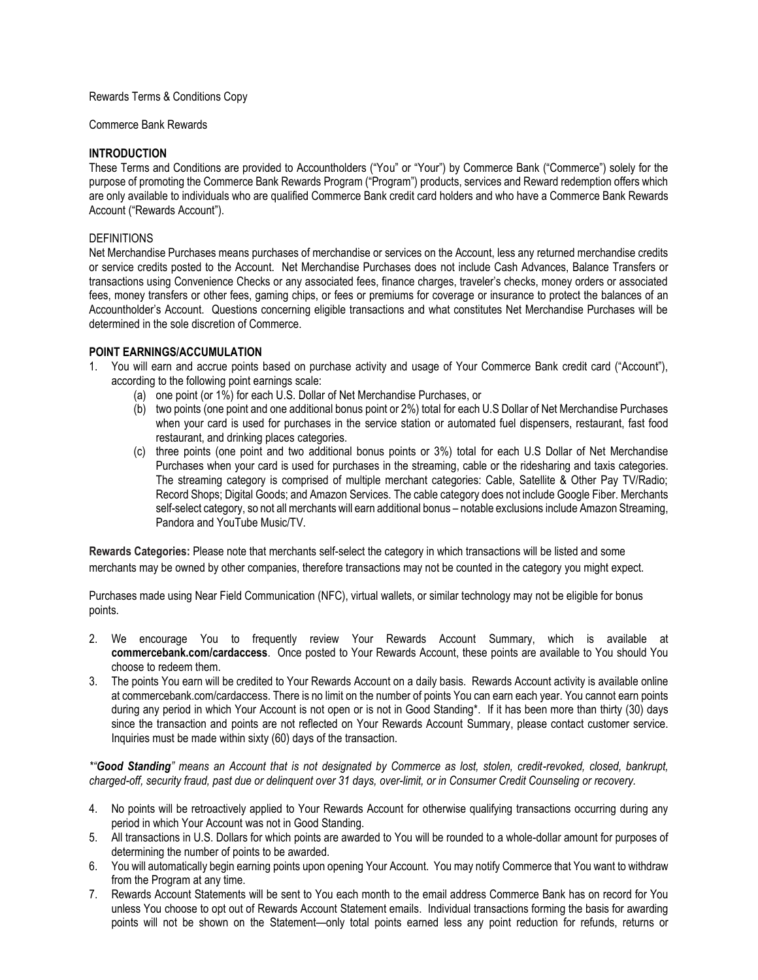### Rewards Terms & Conditions Copy

#### Commerce Bank Rewards

### **INTRODUCTION**

These Terms and Conditions are provided to Accountholders ("You" or "Your") by Commerce Bank ("Commerce") solely for the purpose of promoting the Commerce Bank Rewards Program ("Program") products, services and Reward redemption offers which are only available to individuals who are qualified Commerce Bank credit card holders and who have a Commerce Bank Rewards Account ("Rewards Account").

### DEFINITIONS

Net Merchandise Purchases means purchases of merchandise or services on the Account, less any returned merchandise credits or service credits posted to the Account. Net Merchandise Purchases does not include Cash Advances, Balance Transfers or transactions using Convenience Checks or any associated fees, finance charges, traveler's checks, money orders or associated fees, money transfers or other fees, gaming chips, or fees or premiums for coverage or insurance to protect the balances of an Accountholder's Account. Questions concerning eligible transactions and what constitutes Net Merchandise Purchases will be determined in the sole discretion of Commerce.

#### **POINT EARNINGS/ACCUMULATION**

- 1. You will earn and accrue points based on purchase activity and usage of Your Commerce Bank credit card ("Account"), according to the following point earnings scale:
	- (a) one point (or 1%) for each U.S. Dollar of Net Merchandise Purchases, or
	- (b) two points (one point and one additional bonus point or 2%) total for each U.S Dollar of Net Merchandise Purchases when your card is used for purchases in the service station or automated fuel dispensers, restaurant, fast food restaurant, and drinking places categories.
	- (c) three points (one point and two additional bonus points or 3%) total for each U.S Dollar of Net Merchandise Purchases when your card is used for purchases in the streaming, cable or the ridesharing and taxis categories. The streaming category is comprised of multiple merchant categories: Cable, Satellite & Other Pay TV/Radio; Record Shops; Digital Goods; and Amazon Services. The cable category does not include Google Fiber. Merchants self-select category, so not all merchants will earn additional bonus – notable exclusions include Amazon Streaming, Pandora and YouTube Music/TV.

**Rewards Categories:** Please note that merchants self-select the category in which transactions will be listed and some merchants may be owned by other companies, therefore transactions may not be counted in the category you might expect.

Purchases made using Near Field Communication (NFC), virtual wallets, or similar technology may not be eligible for bonus points.

- 2. We encourage You to frequently review Your Rewards Account Summary, which is available at **commercebank.com/cardaccess**. Once posted to Your Rewards Account, these points are available to You should You choose to redeem them.
- 3. The points You earn will be credited to Your Rewards Account on a daily basis. Rewards Account activity is available online at commercebank.com/cardaccess. There is no limit on the number of points You can earn each year. You cannot earn points during any period in which Your Account is not open or is not in Good Standing\*. If it has been more than thirty (30) days since the transaction and points are not reflected on Your Rewards Account Summary, please contact customer service. Inquiries must be made within sixty (60) days of the transaction.

*\*"Good Standing" means an Account that is not designated by Commerce as lost, stolen, credit-revoked, closed, bankrupt, charged-off, security fraud, past due or delinquent over 31 days, over-limit, or in Consumer Credit Counseling or recovery.*

- 4. No points will be retroactively applied to Your Rewards Account for otherwise qualifying transactions occurring during any period in which Your Account was not in Good Standing.
- 5. All transactions in U.S. Dollars for which points are awarded to You will be rounded to a whole-dollar amount for purposes of determining the number of points to be awarded.
- 6. You will automatically begin earning points upon opening Your Account. You may notify Commerce that You want to withdraw from the Program at any time.
- 7. Rewards Account Statements will be sent to You each month to the email address Commerce Bank has on record for You unless You choose to opt out of Rewards Account Statement emails. Individual transactions forming the basis for awarding points will not be shown on the Statement—only total points earned less any point reduction for refunds, returns or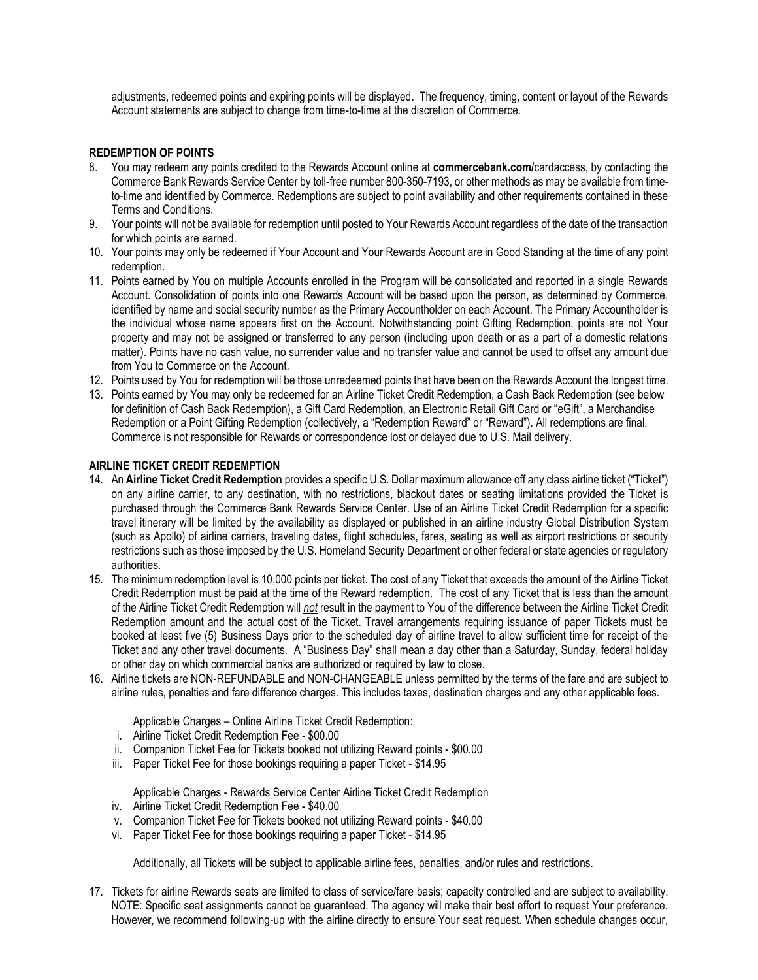adjustments, redeemed points and expiring points will be displayed. The frequency, timing, content or layout of the Rewards Account statements are subject to change from time-to-time at the discretion of Commerce.

## **REDEMPTION OF POINTS**

- 8. You may redeem any points credited to the Rewards Account online at **commercebank.com/**cardaccess, by contacting the Commerce Bank Rewards Service Center by toll-free number 800-350-7193, or other methods as may be available from timeto-time and identified by Commerce. Redemptions are subject to point availability and other requirements contained in these Terms and Conditions.
- 9. Your points will not be available for redemption until posted to Your Rewards Account regardless of the date of the transaction for which points are earned.
- 10. Your points may only be redeemed if Your Account and Your Rewards Account are in Good Standing at the time of any point redemption.
- 11. Points earned by You on multiple Accounts enrolled in the Program will be consolidated and reported in a single Rewards Account. Consolidation of points into one Rewards Account will be based upon the person, as determined by Commerce, identified by name and social security number as the Primary Accountholder on each Account. The Primary Accountholder is the individual whose name appears first on the Account. Notwithstanding point Gifting Redemption, points are not Your property and may not be assigned or transferred to any person (including upon death or as a part of a domestic relations matter). Points have no cash value, no surrender value and no transfer value and cannot be used to offset any amount due from You to Commerce on the Account.
- 12. Points used by You for redemption will be those unredeemed points that have been on the Rewards Account the longest time.
- 13. Points earned by You may only be redeemed for an Airline Ticket Credit Redemption, a Cash Back Redemption (see below for definition of Cash Back Redemption), a Gift Card Redemption, an Electronic Retail Gift Card or "eGift", a Merchandise Redemption or a Point Gifting Redemption (collectively, a "Redemption Reward" or "Reward"). All redemptions are final. Commerce is not responsible for Rewards or correspondence lost or delayed due to U.S. Mail delivery.

# **AIRLINE TICKET CREDIT REDEMPTION**

- 14. An **Airline Ticket Credit Redemption** provides a specific U.S. Dollar maximum allowance off any class airline ticket ("Ticket") on any airline carrier, to any destination, with no restrictions, blackout dates or seating limitations provided the Ticket is purchased through the Commerce Bank Rewards Service Center. Use of an Airline Ticket Credit Redemption for a specific travel itinerary will be limited by the availability as displayed or published in an airline industry Global Distribution System (such as Apollo) of airline carriers, traveling dates, flight schedules, fares, seating as well as airport restrictions or security restrictions such as those imposed by the U.S. Homeland Security Department or other federal or state agencies or regulatory authorities.
- 15. The minimum redemption level is 10,000 points per ticket. The cost of any Ticket that exceeds the amount of the Airline Ticket Credit Redemption must be paid at the time of the Reward redemption. The cost of any Ticket that is less than the amount of the Airline Ticket Credit Redemption will *not* result in the payment to You of the difference between the Airline Ticket Credit Redemption amount and the actual cost of the Ticket. Travel arrangements requiring issuance of paper Tickets must be booked at least five (5) Business Days prior to the scheduled day of airline travel to allow sufficient time for receipt of the Ticket and any other travel documents. A "Business Day" shall mean a day other than a Saturday, Sunday, federal holiday or other day on which commercial banks are authorized or required by law to close.
- 16. Airline tickets are NON-REFUNDABLE and NON-CHANGEABLE unless permitted by the terms of the fare and are subject to airline rules, penalties and fare difference charges. This includes taxes, destination charges and any other applicable fees.

Applicable Charges – Online Airline Ticket Credit Redemption:

- i. Airline Ticket Credit Redemption Fee \$00.00
- ii. Companion Ticket Fee for Tickets booked not utilizing Reward points \$00.00
- iii. Paper Ticket Fee for those bookings requiring a paper Ticket \$14.95

Applicable Charges - Rewards Service Center Airline Ticket Credit Redemption

- iv. Airline Ticket Credit Redemption Fee \$40.00
- v. Companion Ticket Fee for Tickets booked not utilizing Reward points \$40.00
- vi. Paper Ticket Fee for those bookings requiring a paper Ticket \$14.95

Additionally, all Tickets will be subject to applicable airline fees, penalties, and/or rules and restrictions.

17. Tickets for airline Rewards seats are limited to class of service/fare basis; capacity controlled and are subject to availability. NOTE: Specific seat assignments cannot be guaranteed. The agency will make their best effort to request Your preference. However, we recommend following-up with the airline directly to ensure Your seat request. When schedule changes occur,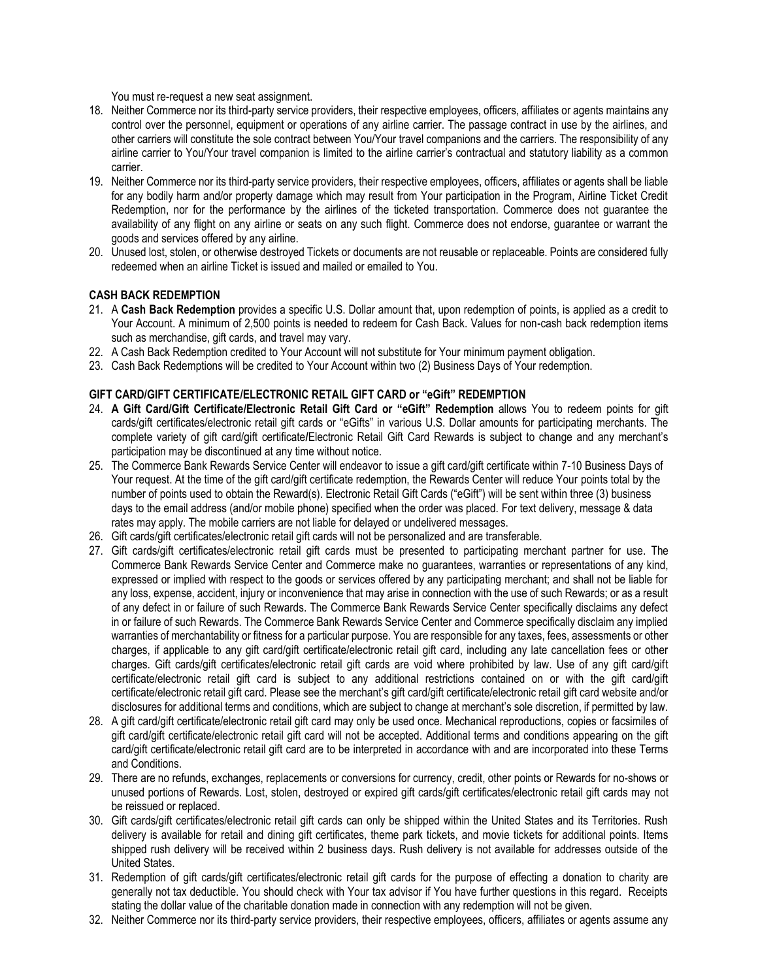You must re-request a new seat assignment.

- 18. Neither Commerce nor its third-party service providers, their respective employees, officers, affiliates or agents maintains any control over the personnel, equipment or operations of any airline carrier. The passage contract in use by the airlines, and other carriers will constitute the sole contract between You/Your travel companions and the carriers. The responsibility of any airline carrier to You/Your travel companion is limited to the airline carrier's contractual and statutory liability as a common carrier.
- 19. Neither Commerce nor its third-party service providers, their respective employees, officers, affiliates or agents shall be liable for any bodily harm and/or property damage which may result from Your participation in the Program, Airline Ticket Credit Redemption, nor for the performance by the airlines of the ticketed transportation. Commerce does not guarantee the availability of any flight on any airline or seats on any such flight. Commerce does not endorse, guarantee or warrant the goods and services offered by any airline.
- 20. Unused lost, stolen, or otherwise destroyed Tickets or documents are not reusable or replaceable. Points are considered fully redeemed when an airline Ticket is issued and mailed or emailed to You.

### **CASH BACK REDEMPTION**

- 21. A **Cash Back Redemption** provides a specific U.S. Dollar amount that, upon redemption of points, is applied as a credit to Your Account. A minimum of 2,500 points is needed to redeem for Cash Back. Values for non-cash back redemption items such as merchandise, gift cards, and travel may vary.
- 22. A Cash Back Redemption credited to Your Account will not substitute for Your minimum payment obligation.
- 23. Cash Back Redemptions will be credited to Your Account within two (2) Business Days of Your redemption.

### **GIFT CARD/GIFT CERTIFICATE/ELECTRONIC RETAIL GIFT CARD or "eGift" REDEMPTION**

- 24. **A Gift Card/Gift Certificate/Electronic Retail Gift Card or "eGift" Redemption** allows You to redeem points for gift cards/gift certificates/electronic retail gift cards or "eGifts" in various U.S. Dollar amounts for participating merchants. The complete variety of gift card/gift certificate**/**Electronic Retail Gift Card Rewards is subject to change and any merchant's participation may be discontinued at any time without notice.
- 25. The Commerce Bank Rewards Service Center will endeavor to issue a gift card/gift certificate within 7-10 Business Days of Your request. At the time of the gift card/gift certificate redemption, the Rewards Center will reduce Your points total by the number of points used to obtain the Reward(s). Electronic Retail Gift Cards ("eGift") will be sent within three (3) business days to the email address (and/or mobile phone) specified when the order was placed. For text delivery, message & data rates may apply. The mobile carriers are not liable for delayed or undelivered messages.
- 26. Gift cards/gift certificates/electronic retail gift cards will not be personalized and are transferable.
- 27. Gift cards/gift certificates/electronic retail gift cards must be presented to participating merchant partner for use. The Commerce Bank Rewards Service Center and Commerce make no guarantees, warranties or representations of any kind, expressed or implied with respect to the goods or services offered by any participating merchant; and shall not be liable for any loss, expense, accident, injury or inconvenience that may arise in connection with the use of such Rewards; or as a result of any defect in or failure of such Rewards. The Commerce Bank Rewards Service Center specifically disclaims any defect in or failure of such Rewards. The Commerce Bank Rewards Service Center and Commerce specifically disclaim any implied warranties of merchantability or fitness for a particular purpose. You are responsible for any taxes, fees, assessments or other charges, if applicable to any gift card/gift certificate/electronic retail gift card, including any late cancellation fees or other charges. Gift cards/gift certificates/electronic retail gift cards are void where prohibited by law. Use of any gift card/gift certificate/electronic retail gift card is subject to any additional restrictions contained on or with the gift card/gift certificate/electronic retail gift card. Please see the merchant's gift card/gift certificate/electronic retail gift card website and/or disclosures for additional terms and conditions, which are subject to change at merchant's sole discretion, if permitted by law.
- 28. A gift card/gift certificate/electronic retail gift card may only be used once. Mechanical reproductions, copies or facsimiles of gift card/gift certificate/electronic retail gift card will not be accepted. Additional terms and conditions appearing on the gift card/gift certificate/electronic retail gift card are to be interpreted in accordance with and are incorporated into these Terms and Conditions.
- 29. There are no refunds, exchanges, replacements or conversions for currency, credit, other points or Rewards for no-shows or unused portions of Rewards. Lost, stolen, destroyed or expired gift cards/gift certificates/electronic retail gift cards may not be reissued or replaced.
- 30. Gift cards/gift certificates/electronic retail gift cards can only be shipped within the United States and its Territories. Rush delivery is available for retail and dining gift certificates, theme park tickets, and movie tickets for additional points. Items shipped rush delivery will be received within 2 business days. Rush delivery is not available for addresses outside of the United States.
- 31. Redemption of gift cards/gift certificates/electronic retail gift cards for the purpose of effecting a donation to charity are generally not tax deductible. You should check with Your tax advisor if You have further questions in this regard. Receipts stating the dollar value of the charitable donation made in connection with any redemption will not be given.
- 32. Neither Commerce nor its third-party service providers, their respective employees, officers, affiliates or agents assume any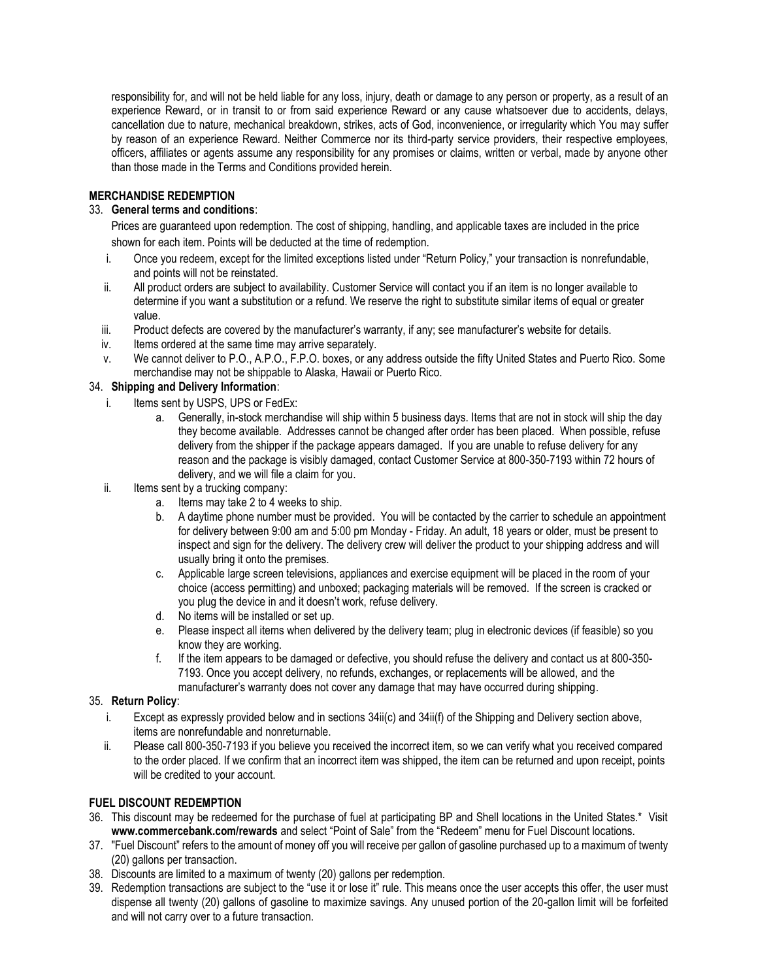responsibility for, and will not be held liable for any loss, injury, death or damage to any person or property, as a result of an experience Reward, or in transit to or from said experience Reward or any cause whatsoever due to accidents, delays, cancellation due to nature, mechanical breakdown, strikes, acts of God, inconvenience, or irregularity which You may suffer by reason of an experience Reward. Neither Commerce nor its third-party service providers, their respective employees, officers, affiliates or agents assume any responsibility for any promises or claims, written or verbal, made by anyone other than those made in the Terms and Conditions provided herein.

### **MERCHANDISE REDEMPTION**

## 33. **General terms and conditions**:

Prices are guaranteed upon redemption. The cost of shipping, handling, and applicable taxes are included in the price shown for each item. Points will be deducted at the time of redemption.

- i. Once you redeem, except for the limited exceptions listed under "Return Policy," your transaction is nonrefundable, and points will not be reinstated.
- ii. All product orders are subject to availability. Customer Service will contact you if an item is no longer available to determine if you want a substitution or a refund. We reserve the right to substitute similar items of equal or greater value.
- iii. Product defects are covered by the manufacturer's warranty, if any; see manufacturer's website for details.
- iv. Items ordered at the same time may arrive separately.
- v. We cannot deliver to P.O., A.P.O., F.P.O. boxes, or any address outside the fifty United States and Puerto Rico. Some merchandise may not be shippable to Alaska, Hawaii or Puerto Rico.

### 34. **Shipping and Delivery Information**:

- i. Items sent by USPS, UPS or FedEx:
	- a. Generally, in-stock merchandise will ship within 5 business days. Items that are not in stock will ship the day they become available. Addresses cannot be changed after order has been placed. When possible, refuse delivery from the shipper if the package appears damaged. If you are unable to refuse delivery for any reason and the package is visibly damaged, contact Customer Service at 800-350-7193 within 72 hours of delivery, and we will file a claim for you.
- ii. Items sent by a trucking company:
	- a. Items may take 2 to 4 weeks to ship.
	- b. A daytime phone number must be provided. You will be contacted by the carrier to schedule an appointment for delivery between 9:00 am and 5:00 pm Monday - Friday. An adult, 18 years or older, must be present to inspect and sign for the delivery. The delivery crew will deliver the product to your shipping address and will usually bring it onto the premises.
	- c. Applicable large screen televisions, appliances and exercise equipment will be placed in the room of your choice (access permitting) and unboxed; packaging materials will be removed. If the screen is cracked or you plug the device in and it doesn't work, refuse delivery.
	- d. No items will be installed or set up.
	- e. Please inspect all items when delivered by the delivery team; plug in electronic devices (if feasible) so you know they are working.
	- f. If the item appears to be damaged or defective, you should refuse the delivery and contact us at 800-350- 7193. Once you accept delivery, no refunds, exchanges, or replacements will be allowed, and the manufacturer's warranty does not cover any damage that may have occurred during shipping.

### 35. **Return Policy**:

- i. Except as expressly provided below and in sections 34ii(c) and 34ii(f) of the Shipping and Delivery section above, items are nonrefundable and nonreturnable.
- ii. Please call 800-350-7193 if you believe you received the incorrect item, so we can verify what you received compared to the order placed. If we confirm that an incorrect item was shipped, the item can be returned and upon receipt, points will be credited to your account.

### **FUEL DISCOUNT REDEMPTION**

- 36. This discount may be redeemed for the purchase of fuel at participating BP and Shell locations in the United States.\* Visit **www.commercebank.com/rewards** and select "Point of Sale" from the "Redeem" menu for Fuel Discount locations.
- 37. "Fuel Discount" refers to the amount of money off you will receive per gallon of gasoline purchased up to a maximum of twenty (20) gallons per transaction.
- 38. Discounts are limited to a maximum of twenty (20) gallons per redemption.
- 39. Redemption transactions are subject to the "use it or lose it" rule. This means once the user accepts this offer, the user must dispense all twenty (20) gallons of gasoline to maximize savings. Any unused portion of the 20-gallon limit will be forfeited and will not carry over to a future transaction.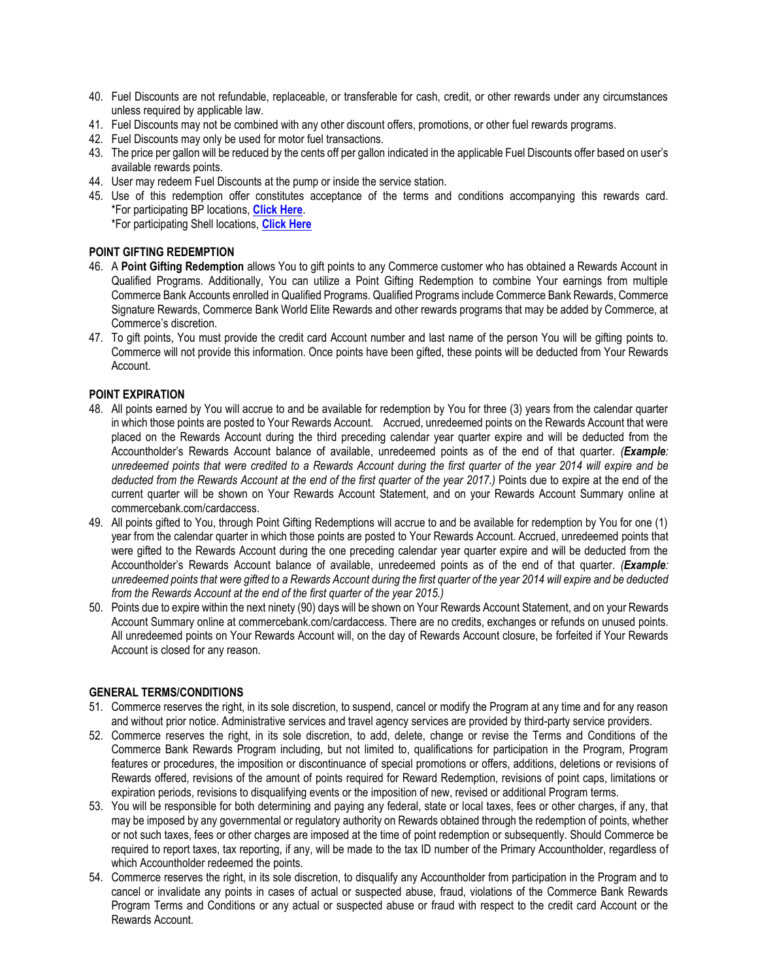- 40. Fuel Discounts are not refundable, replaceable, or transferable for cash, credit, or other rewards under any circumstances unless required by applicable law.
- 41. Fuel Discounts may not be combined with any other discount offers, promotions, or other fuel rewards programs.
- 42. Fuel Discounts may only be used for motor fuel transactions.
- 43. The price per gallon will be reduced by the cents off per gallon indicated in the applicable Fuel Discounts offer based on user's available rewards points.
- 44. User may redeem Fuel Discounts at the pump or inside the service station.
- 45. Use of this redemption offer constitutes acceptance of the terms and conditions accompanying this rewards card. \*For participating BP locations, **[Click Here](https://www.mybpstation.com/station-finder)**. \*For participating Shell locations, **[Click Here](https://www.shell.us/motorist/gas-station-near-me.html)**

### **POINT GIFTING REDEMPTION**

- 46. A **Point Gifting Redemption** allows You to gift points to any Commerce customer who has obtained a Rewards Account in Qualified Programs. Additionally, You can utilize a Point Gifting Redemption to combine Your earnings from multiple Commerce Bank Accounts enrolled in Qualified Programs. Qualified Programs include Commerce Bank Rewards, Commerce Signature Rewards, Commerce Bank World Elite Rewards and other rewards programs that may be added by Commerce, at Commerce's discretion.
- 47. To gift points, You must provide the credit card Account number and last name of the person You will be gifting points to. Commerce will not provide this information. Once points have been gifted, these points will be deducted from Your Rewards Account.

### **POINT EXPIRATION**

- 48. All points earned by You will accrue to and be available for redemption by You for three (3) years from the calendar quarter in which those points are posted to Your Rewards Account. Accrued, unredeemed points on the Rewards Account that were placed on the Rewards Account during the third preceding calendar year quarter expire and will be deducted from the Accountholder's Rewards Account balance of available, unredeemed points as of the end of that quarter. *(Example: unredeemed points that were credited to a Rewards Account during the first quarter of the year 2014 will expire and be deducted from the Rewards Account at the end of the first quarter of the year 2017.)* Points due to expire at the end of the current quarter will be shown on Your Rewards Account Statement, and on your Rewards Account Summary online at commercebank.com/cardaccess.
- 49. All points gifted to You, through Point Gifting Redemptions will accrue to and be available for redemption by You for one (1) year from the calendar quarter in which those points are posted to Your Rewards Account. Accrued, unredeemed points that were gifted to the Rewards Account during the one preceding calendar year quarter expire and will be deducted from the Accountholder's Rewards Account balance of available, unredeemed points as of the end of that quarter. *(Example: unredeemed points that were gifted to a Rewards Account during the first quarter of the year 2014 will expire and be deducted from the Rewards Account at the end of the first quarter of the year 2015.)*
- 50. Points due to expire within the next ninety (90) days will be shown on Your Rewards Account Statement, and on your Rewards Account Summary online at commercebank.com/cardaccess. There are no credits, exchanges or refunds on unused points. All unredeemed points on Your Rewards Account will, on the day of Rewards Account closure, be forfeited if Your Rewards Account is closed for any reason.

#### **GENERAL TERMS/CONDITIONS**

- 51. Commerce reserves the right, in its sole discretion, to suspend, cancel or modify the Program at any time and for any reason and without prior notice. Administrative services and travel agency services are provided by third-party service providers.
- 52. Commerce reserves the right, in its sole discretion, to add, delete, change or revise the Terms and Conditions of the Commerce Bank Rewards Program including, but not limited to, qualifications for participation in the Program, Program features or procedures, the imposition or discontinuance of special promotions or offers, additions, deletions or revisions of Rewards offered, revisions of the amount of points required for Reward Redemption, revisions of point caps, limitations or expiration periods, revisions to disqualifying events or the imposition of new, revised or additional Program terms.
- 53. You will be responsible for both determining and paying any federal, state or local taxes, fees or other charges, if any, that may be imposed by any governmental or regulatory authority on Rewards obtained through the redemption of points, whether or not such taxes, fees or other charges are imposed at the time of point redemption or subsequently. Should Commerce be required to report taxes, tax reporting, if any, will be made to the tax ID number of the Primary Accountholder, regardless of which Accountholder redeemed the points.
- 54. Commerce reserves the right, in its sole discretion, to disqualify any Accountholder from participation in the Program and to cancel or invalidate any points in cases of actual or suspected abuse, fraud, violations of the Commerce Bank Rewards Program Terms and Conditions or any actual or suspected abuse or fraud with respect to the credit card Account or the Rewards Account.